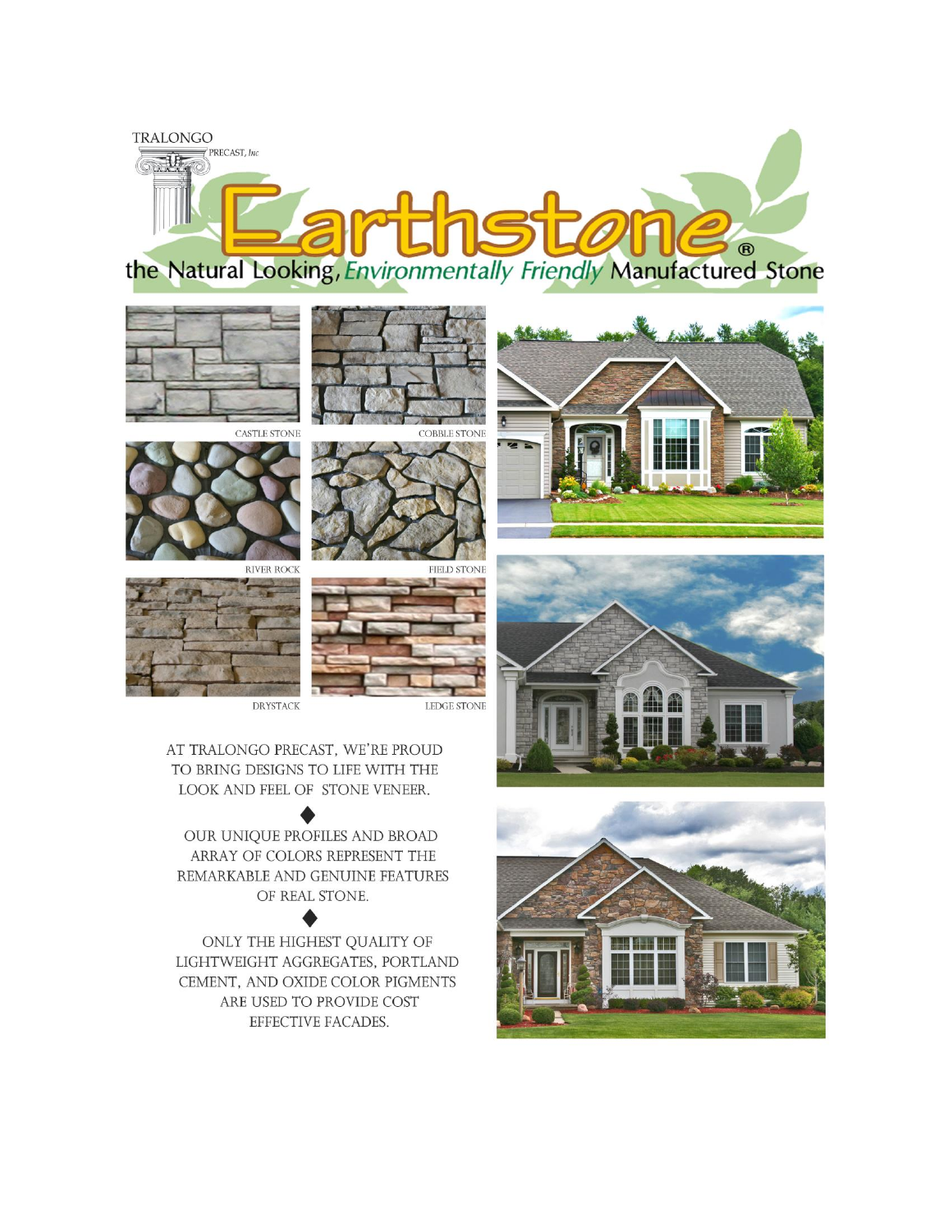















DRYSTACK



AT TRALONGO PRECAST, WE'RE PROUD TO BRING DESIGNS TO LIFE WITH THE LOOK AND FEEL OF STONE VENEER.

# OUR UNIQUE PROFILES AND BROAD ARRAY OF COLORS REPRESENT THE REMARKABLE AND GENUINE FEATURES OF REAL STONE.

ONLY THE HIGHEST QUALITY OF LIGHTWEIGHT AGGREGATES, PORTLAND CEMENT, AND OXIDE COLOR PIGMENTS ARE USED TO PROVIDE COST EFFECTIVE FACADES.



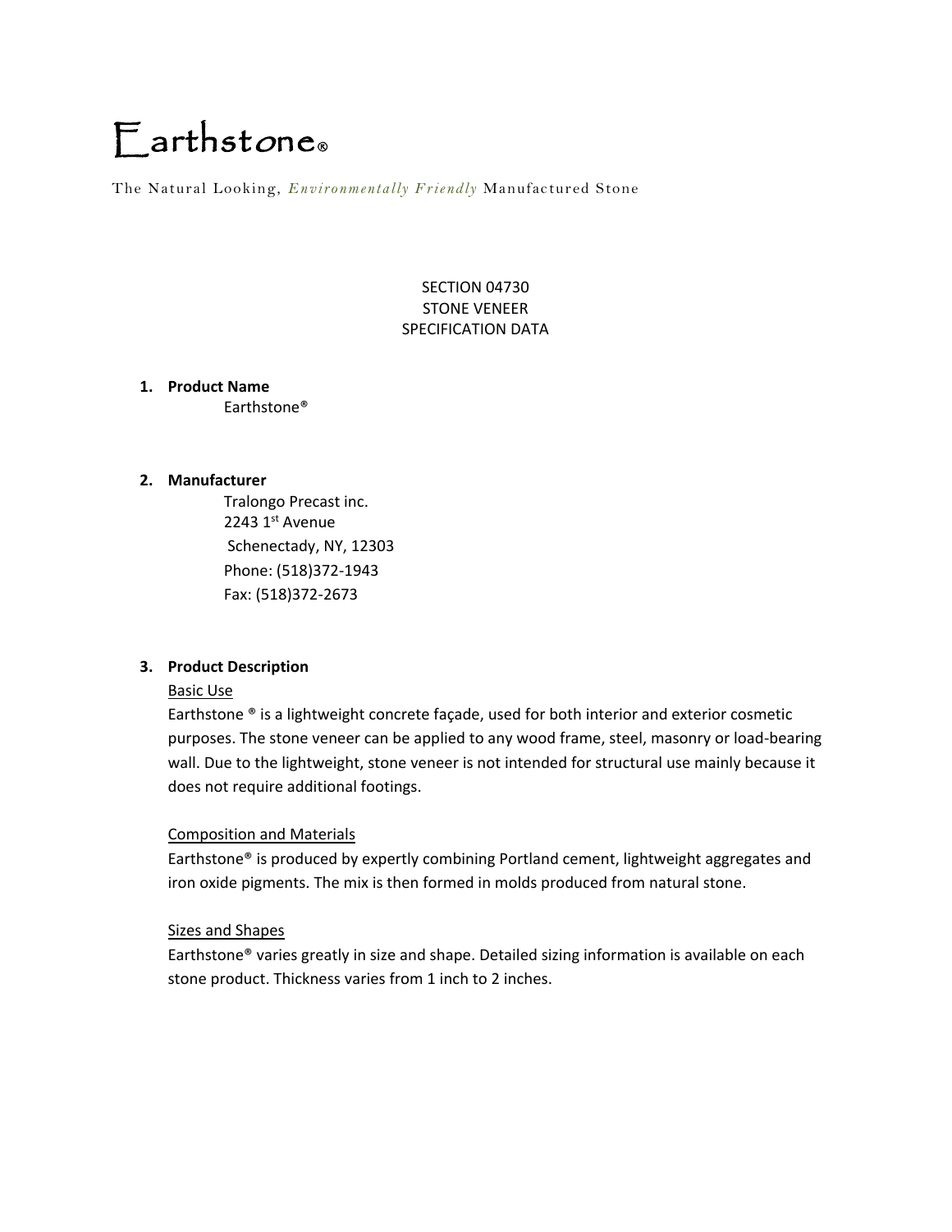# Earthstone®

The Natural Looking, *Environmentally Friendly* Manufactured Stone

SECTION 04730 STONE VENEER SPECIFICATION DATA

### **1. Product Name**

Earthstone®

#### **2. Manufacturer**

Tralongo Precast inc. 2243  $1<sup>st</sup>$  Avenue Schenectady, NY, 12303 Phone: (518)372-1943 Fax: (518)372-2673

## **3. Product Description**

#### Basic Use

Earthstone ® is a lightweight concrete façade, used for both interior and exterior cosmetic purposes. The stone veneer can be applied to any wood frame, steel, masonry or load-bearing wall. Due to the lightweight, stone veneer is not intended for structural use mainly because it does not require additional footings.

### Composition and Materials

Earthstone® is produced by expertly combining Portland cement, lightweight aggregates and iron oxide pigments. The mix is then formed in molds produced from natural stone.

### Sizes and Shapes

Earthstone® varies greatly in size and shape. Detailed sizing information is available on each stone product. Thickness varies from 1 inch to 2 inches.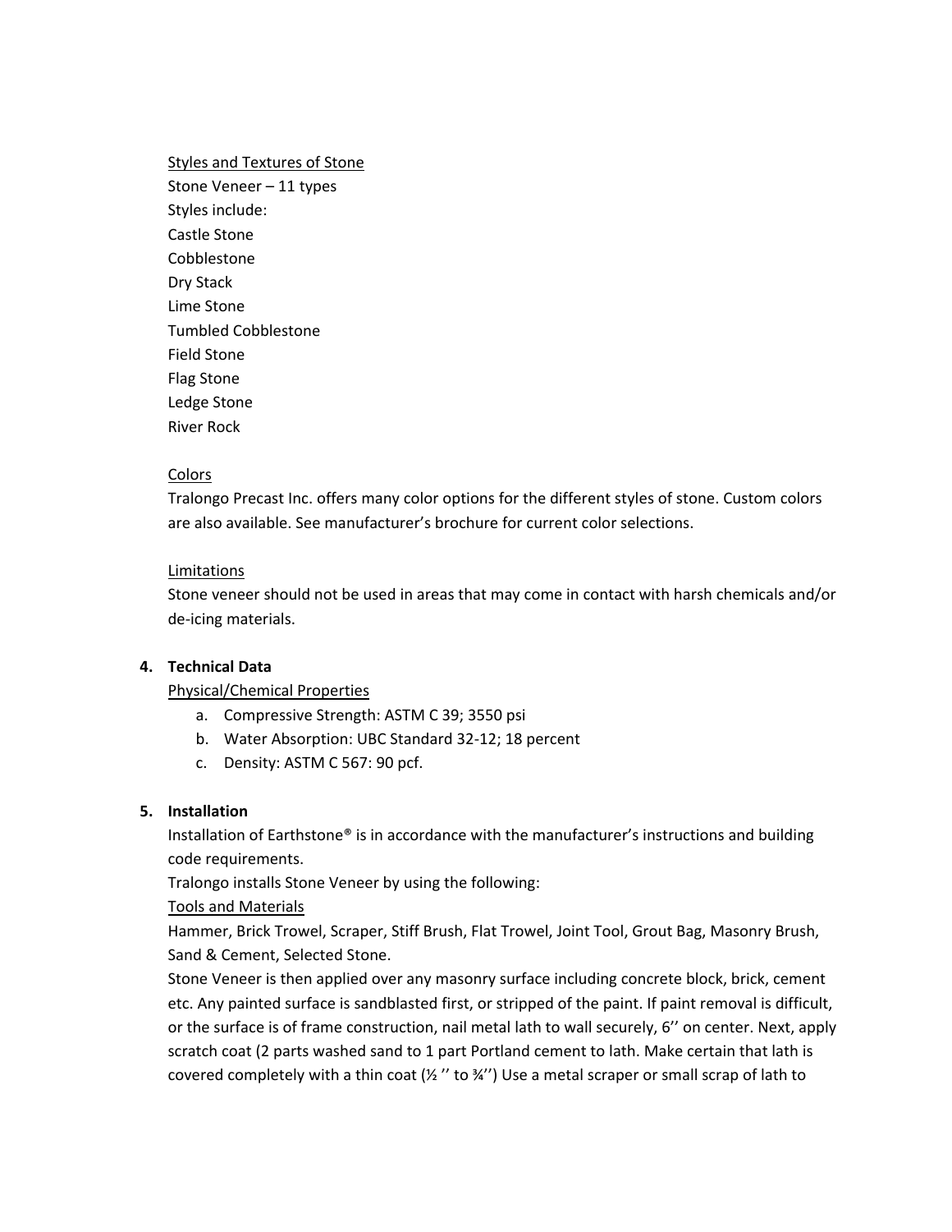#### Styles and Textures of Stone

Stone Veneer – 11 types Styles include: Castle Stone Cobblestone Dry Stack Lime Stone Tumbled Cobblestone Field Stone Flag Stone Ledge Stone River Rock

## Colors

Tralongo Precast Inc. offers many color options for the different styles of stone. Custom colors are also available. See manufacturer's brochure for current color selections.

### **Limitations**

Stone veneer should not be used in areas that may come in contact with harsh chemicals and/or de-icing materials.

### **4. Technical Data**

Physical/Chemical Properties

- a. Compressive Strength: ASTM C 39; 3550 psi
- b. Water Absorption: UBC Standard 32-12; 18 percent
- c. Density: ASTM C 567: 90 pcf.

### **5. Installation**

Installation of Earthstone® is in accordance with the manufacturer's instructions and building code requirements.

Tralongo installs Stone Veneer by using the following:

Tools and Materials

Hammer, Brick Trowel, Scraper, Stiff Brush, Flat Trowel, Joint Tool, Grout Bag, Masonry Brush, Sand & Cement, Selected Stone.

Stone Veneer is then applied over any masonry surface including concrete block, brick, cement etc. Any painted surface is sandblasted first, or stripped of the paint. If paint removal is difficult, or the surface is of frame construction, nail metal lath to wall securely, 6'' on center. Next, apply scratch coat (2 parts washed sand to 1 part Portland cement to lath. Make certain that lath is covered completely with a thin coat  $(\frac{1}{2}$ " to  $\frac{3}{4}$ ") Use a metal scraper or small scrap of lath to